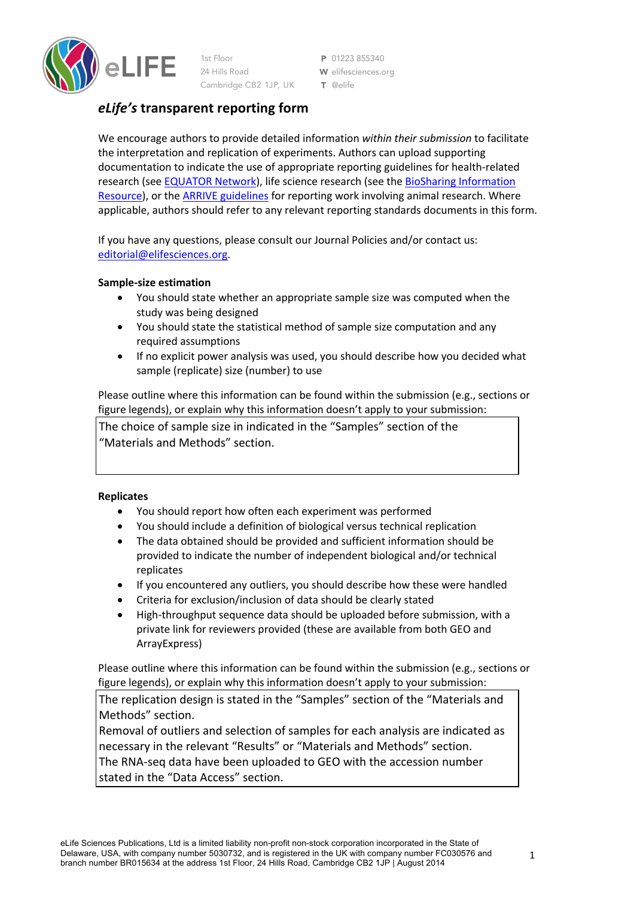

1st Floor 24 Hills Road Cambridge CB2 1JP, UK

P 01223 855340 W elifesciences.org  $T$  @elife

# *eLife's* **transparent reporting form**

We encourage authors to provide detailed information *within their submission* to facilitate the interpretation and replication of experiments. Authors can upload supporting documentation to indicate the use of appropriate reporting guidelines for health-related research (see EQUATOR Network), life science research (see the BioSharing Information Resource), or the ARRIVE guidelines for reporting work involving animal research. Where applicable, authors should refer to any relevant reporting standards documents in this form.

If you have any questions, please consult our Journal Policies and/or contact us: editorial@elifesciences.org.

### **Sample-size estimation**

- You should state whether an appropriate sample size was computed when the study was being designed
- You should state the statistical method of sample size computation and any required assumptions
- If no explicit power analysis was used, you should describe how you decided what sample (replicate) size (number) to use

Please outline where this information can be found within the submission (e.g., sections or figure legends), or explain why this information doesn't apply to your submission:

The choice of sample size in indicated in the "Samples" section of the "Materials and Methods" section.

### **Replicates**

- You should report how often each experiment was performed
- You should include a definition of biological versus technical replication
- The data obtained should be provided and sufficient information should be provided to indicate the number of independent biological and/or technical replicates
- If you encountered any outliers, you should describe how these were handled
- Criteria for exclusion/inclusion of data should be clearly stated
- High-throughput sequence data should be uploaded before submission, with a private link for reviewers provided (these are available from both GEO and ArrayExpress)

Please outline where this information can be found within the submission (e.g., sections or figure legends), or explain why this information doesn't apply to your submission:

The replication design is stated in the "Samples" section of the "Materials and Methods" section.

Removal of outliers and selection of samples for each analysis are indicated as necessary in the relevant "Results" or "Materials and Methods" section. The RNA-seq data have been uploaded to GEO with the accession number stated in the "Data Access" section.